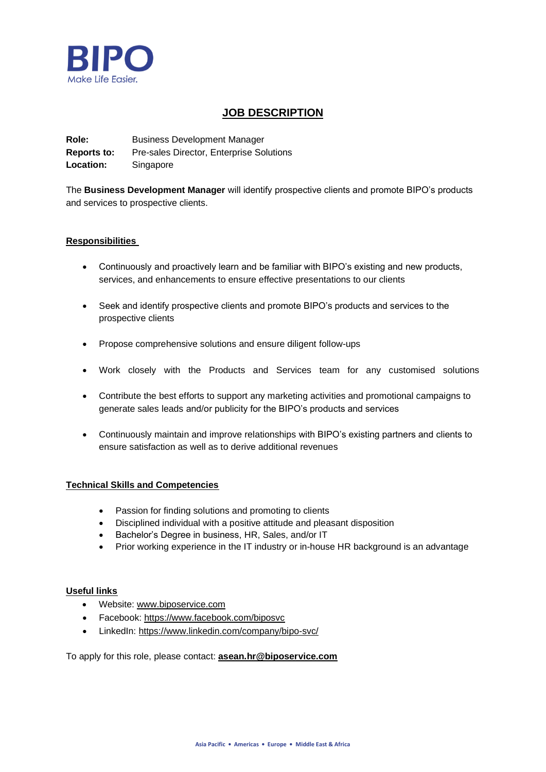

# **JOB DESCRIPTION**

**Role:** Business Development Manager **Reports to:** Pre-sales Director, Enterprise Solutions **Location:** Singapore

The **Business Development Manager** will identify prospective clients and promote BIPO's products and services to prospective clients.

# **Responsibilities**

- Continuously and proactively learn and be familiar with BIPO's existing and new products, services, and enhancements to ensure effective presentations to our clients
- Seek and identify prospective clients and promote BIPO's products and services to the prospective clients
- Propose comprehensive solutions and ensure diligent follow-ups
- Work closely with the Products and Services team for any customised solutions
- Contribute the best efforts to support any marketing activities and promotional campaigns to generate sales leads and/or publicity for the BIPO's products and services
- Continuously maintain and improve relationships with BIPO's existing partners and clients to ensure satisfaction as well as to derive additional revenues

# **Technical Skills and Competencies**

- Passion for finding solutions and promoting to clients
- Disciplined individual with a positive attitude and pleasant disposition
- Bachelor's Degree in business, HR, Sales, and/or IT
- Prior working experience in the IT industry or in-house HR background is an advantage

#### **Useful links**

- Website: [www.biposervice.com](http://www.biposervice.com/)
- Facebook: <https://www.facebook.com/biposvc>
- LinkedIn: <https://www.linkedin.com/company/bipo-svc/>

To apply for this role, please contact: **[asean.hr@biposervice.com](mailto:asean.hr@biposervice.com)**